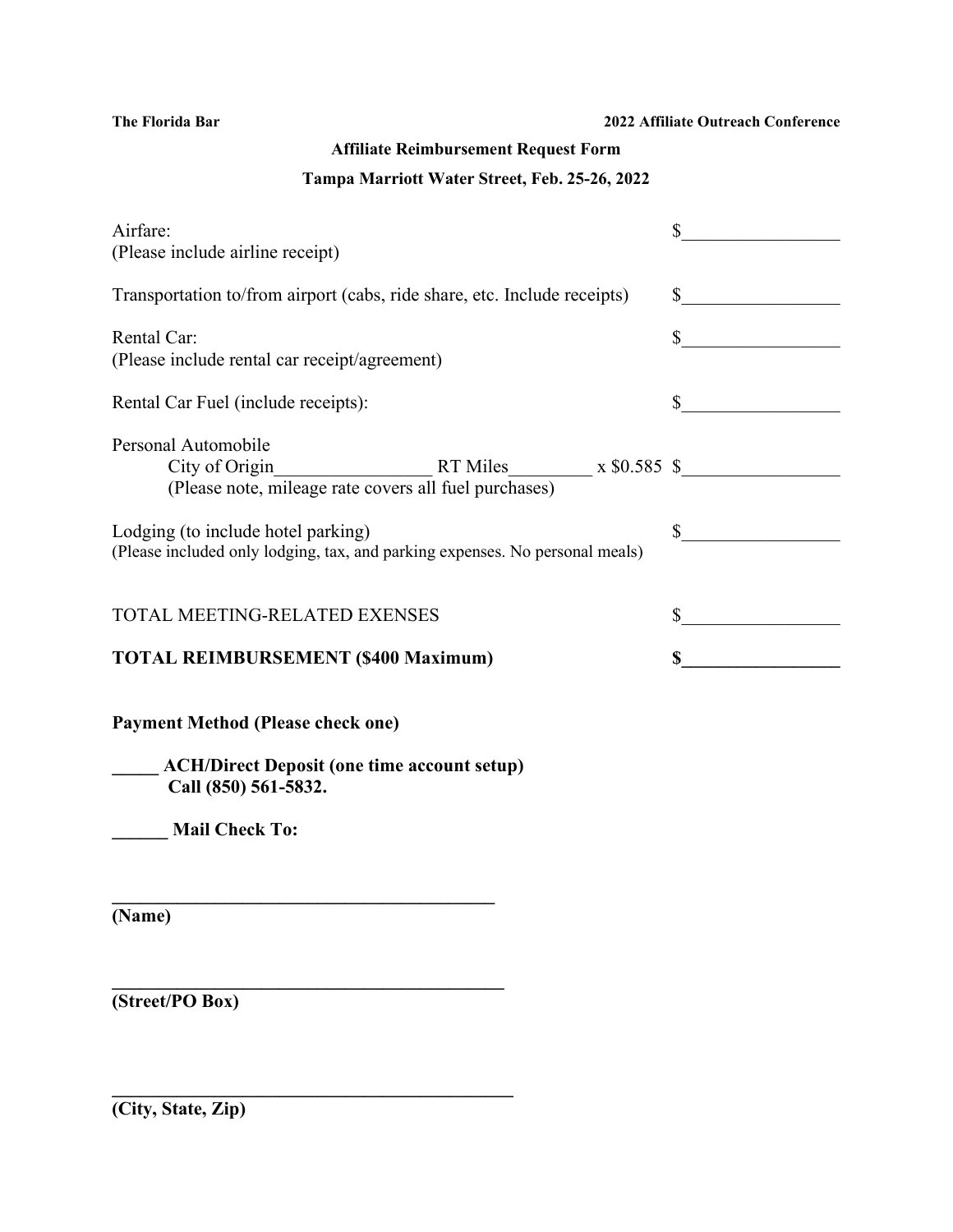# **Affiliate Reimbursement Request Form**

#### **Tampa Marriott Water Street, Feb. 25-26, 2022**

| Airfare:<br>(Please include airline receipt)                                                                            | $\frac{1}{2}$               |
|-------------------------------------------------------------------------------------------------------------------------|-----------------------------|
| Transportation to/from airport (cabs, ride share, etc. Include receipts)                                                | $\frac{1}{2}$               |
| Rental Car:<br>(Please include rental car receipt/agreement)                                                            | $\frac{1}{2}$               |
| Rental Car Fuel (include receipts):                                                                                     | $\frac{\text{S}}{\text{S}}$ |
| Personal Automobile<br>$City of Origin$ RT Miles $x $0.585$ \$<br>(Please note, mileage rate covers all fuel purchases) |                             |
| Lodging (to include hotel parking)<br>(Please included only lodging, tax, and parking expenses. No personal meals)      | $\frac{\text{S}}{\text{S}}$ |
| TOTAL MEETING-RELATED EXENSES                                                                                           | $\sim$                      |
| <b>TOTAL REIMBURSEMENT (\$400 Maximum)</b>                                                                              | $\mathbb{S}$                |
| <b>Payment Method (Please check one)</b>                                                                                |                             |
| <b>ACH/Direct Deposit (one time account setup)</b><br>Call (850) 561-5832.                                              |                             |
| <b>Mail Check To:</b>                                                                                                   |                             |
| <u> 1980 - Johann Barn, mars an t-Amerikaansk ferskeizh (</u>                                                           |                             |
| (Name)                                                                                                                  |                             |
|                                                                                                                         |                             |
| (Street/PO Box)                                                                                                         |                             |

**\_\_\_\_\_\_\_\_\_\_\_\_\_\_\_\_\_\_\_\_\_\_\_\_\_\_\_\_\_\_\_\_\_\_\_\_\_\_\_\_\_\_\_**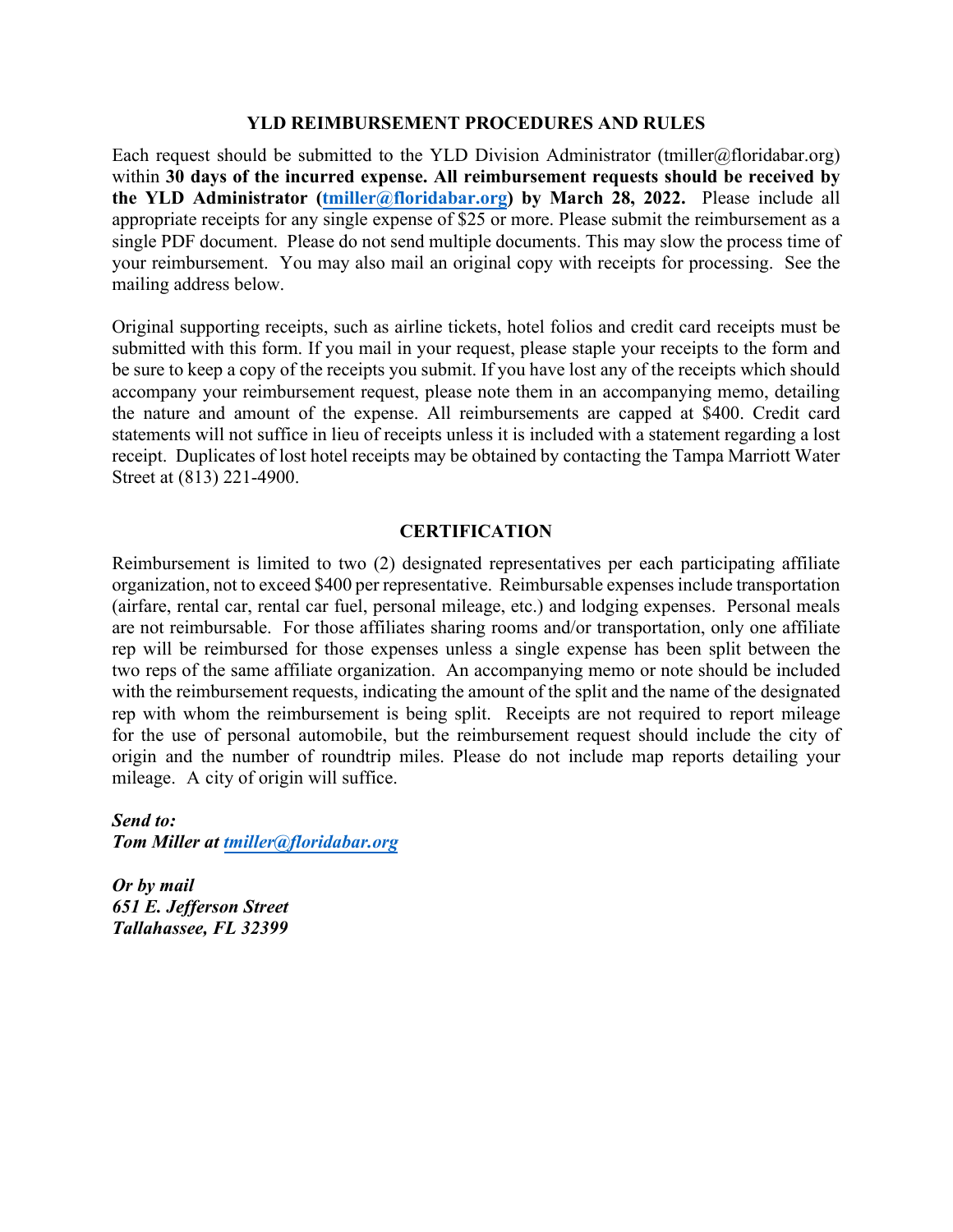#### **YLD REIMBURSEMENT PROCEDURES AND RULES**

Each request should be submitted to the YLD Division Administrator (tmiller@floridabar.org) within **30 days of the incurred expense. All reimbursement requests should be received by the YLD Administrator [\(tmiller@floridabar.org\)](mailto:tmiller@floridabar.org) by March 28, 2022.** Please include all appropriate receipts for any single expense of \$25 or more. Please submit the reimbursement as a single PDF document. Please do not send multiple documents. This may slow the process time of your reimbursement. You may also mail an original copy with receipts for processing. See the mailing address below.

Original supporting receipts, such as airline tickets, hotel folios and credit card receipts must be submitted with this form. If you mail in your request, please staple your receipts to the form and be sure to keep a copy of the receipts you submit. If you have lost any of the receipts which should accompany your reimbursement request, please note them in an accompanying memo, detailing the nature and amount of the expense. All reimbursements are capped at \$400. Credit card statements will not suffice in lieu of receipts unless it is included with a statement regarding a lost receipt. Duplicates of lost hotel receipts may be obtained by contacting the Tampa Marriott Water Street at (813) 221-4900.

#### **CERTIFICATION**

Reimbursement is limited to two (2) designated representatives per each participating affiliate organization, not to exceed \$400 per representative. Reimbursable expenses include transportation (airfare, rental car, rental car fuel, personal mileage, etc.) and lodging expenses. Personal meals are not reimbursable. For those affiliates sharing rooms and/or transportation, only one affiliate rep will be reimbursed for those expenses unless a single expense has been split between the two reps of the same affiliate organization. An accompanying memo or note should be included with the reimbursement requests, indicating the amount of the split and the name of the designated rep with whom the reimbursement is being split. Receipts are not required to report mileage for the use of personal automobile, but the reimbursement request should include the city of origin and the number of roundtrip miles. Please do not include map reports detailing your mileage. A city of origin will suffice.

*Send to: Tom Miller at [tmiller@floridabar.org](mailto:tmiller@floridabar.org)*

*Or by mail 651 E. Jefferson Street Tallahassee, FL 32399*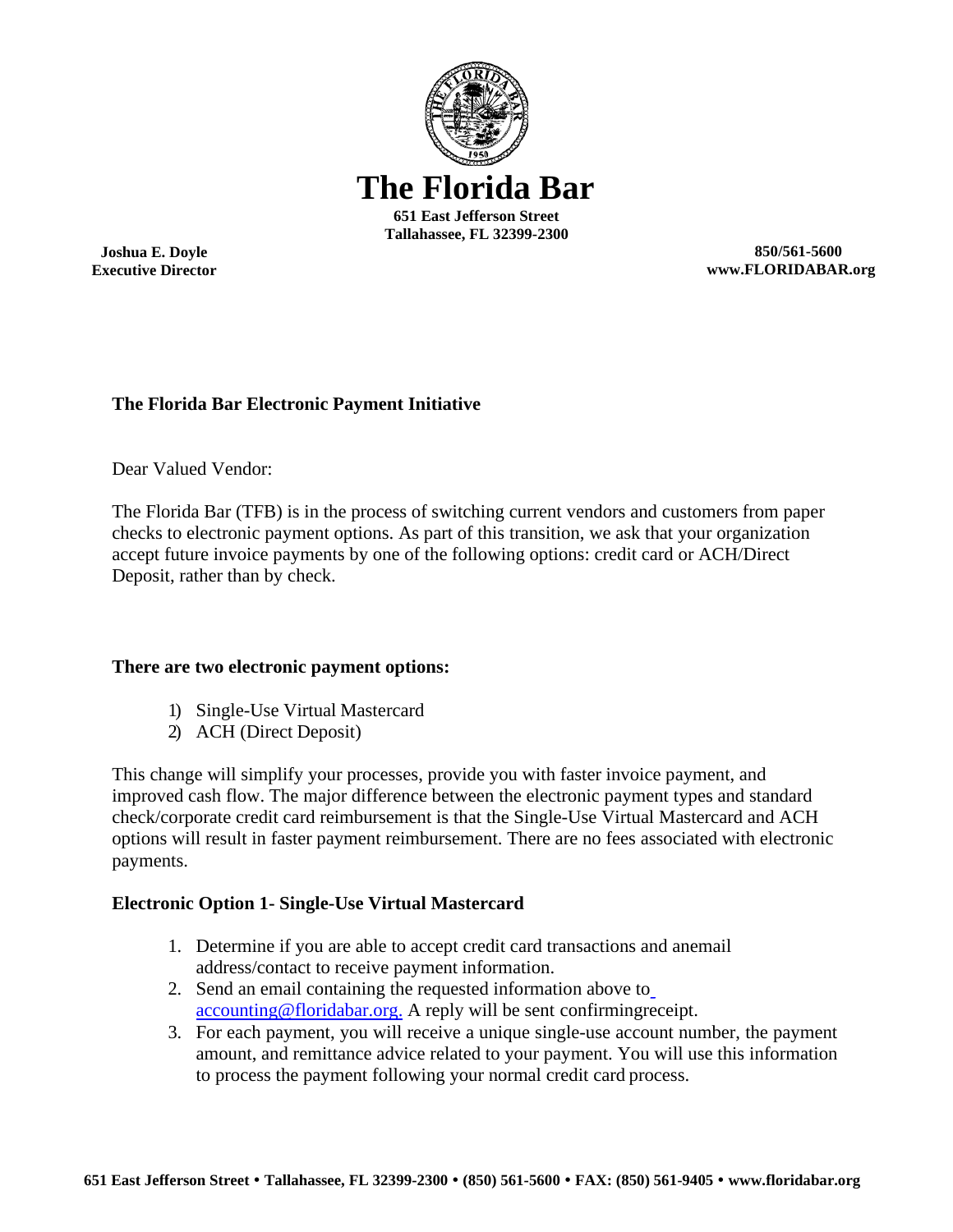

**Joshua E. Doyle Executive Director**

**850/561-5600 [www.FLORIDABAR.org](http://www.floridabar.org/)**

# **The Florida Bar Electronic Payment Initiative**

Dear Valued Vendor:

The Florida Bar (TFB) is in the process of switching current vendors and customers from paper checks to electronic payment options. As part of this transition, we ask that your organization accept future invoice payments by one of the following options: credit card or ACH/Direct Deposit, rather than by check.

## **There are two electronic payment options:**

- 1) Single-Use Virtual Mastercard
- 2) ACH (Direct Deposit)

This change will simplify your processes, provide you with faster invoice payment, and improved cash flow. The major difference between the electronic payment types and standard check/corporate credit card reimbursement is that the Single-Use Virtual Mastercard and ACH options will result in faster payment reimbursement. There are no fees associated with electronic payments.

## **Electronic Option 1- Single-Use Virtual Mastercard**

- 1. Determine if you are able to accept credit card transactions and anemail address/contact to receive payment information.
- 2. Send an email containing the requested information above t[o](mailto:accounting@floridabar.org) [accounting@floridabar.org. A](mailto:accounting@floridabar.org) reply will be sent confirmingreceipt.
- 3. For each payment, you will receive a unique single-use account number, the payment amount, and remittance advice related to your payment. You will use this information to process the payment following your normal credit card process.